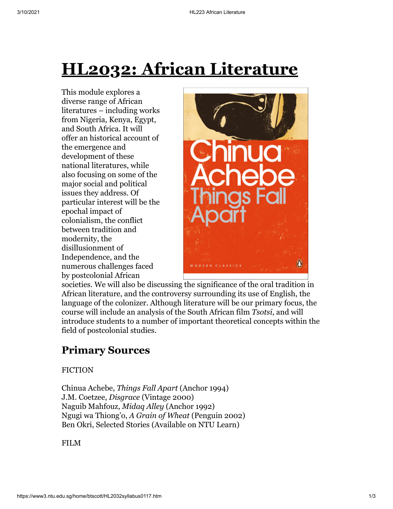# **HL2032: African Literature**

This module explores a diverse range of African literatures – including works from Nigeria, Kenya, Egypt, and South Africa. It will offer an historical account of the emergence and development of these national literatures, while also focusing on some of the major social and political issues they address. Of particular interest will be the epochal impact of colonialism, the conflict between tradition and modernity, the disillusionment of Independence, and the numerous challenges faced by postcolonial African



societies. We will also be discussing the significance of the oral tradition in African literature, and the controversy surrounding its use of English, the language of the colonizer. Although literature will be our primary focus, the course will include an analysis of the South African film *Tsotsi*, and will introduce students to a number of important theoretical concepts within the field of postcolonial studies.

## **Primary Sources**

#### FICTION

Chinua Achebe, *Things Fall Apart* (Anchor 1994) J.M. Coetzee, *Disgrace* (Vintage 2000) Naguib Mahfouz, *Midaq Alley* (Anchor 1992) Ngugi wa Thiong'o, *A Grain of Wheat* (Penguin 2002) Ben Okri, Selected Stories (Available on NTU Learn)

FILM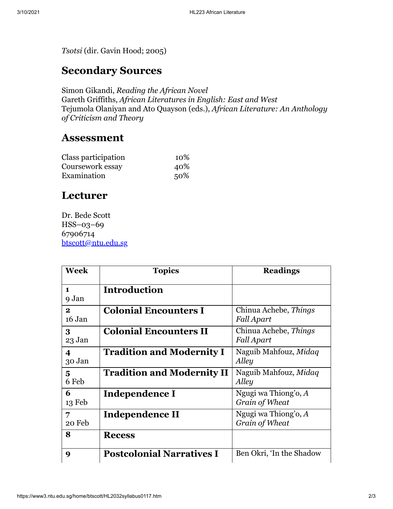*Tsotsi* (dir. Gavin Hood; 2005)

### **Secondary Sources**

Simon Gikandi, *Reading the African Novel* Gareth Griffiths, *African Literatures in English: East and West* Tejumola Olaniyan and Ato Quayson (eds.), *African Literature: An Anthology of Criticism and Theory*

#### **Assessment**

| Class participation | 10% |
|---------------------|-----|
| Coursework essay    | 40% |
| Examination         | 50% |

### **Lecturer**

Dr. Bede Scott HSS–03–69 67906714 [btscott@ntu.edu.sg](mailto:btscott@ntu.edu.sg)

| <b>Week</b>                       | <b>Topics</b>                     | <b>Readings</b>                          |
|-----------------------------------|-----------------------------------|------------------------------------------|
| $\mathbf{1}$<br>9 Jan             | <b>Introduction</b>               |                                          |
| $\mathbf{2}$<br>16 Jan            | <b>Colonial Encounters I</b>      | Chinua Achebe, Things<br>Fall Apart      |
| 3<br>23 Jan                       | <b>Colonial Encounters II</b>     | Chinua Achebe, Things<br>Fall Apart      |
| $\overline{\mathbf{4}}$<br>30 Jan | <b>Tradition and Modernity I</b>  | Naguib Mahfouz, Midaq<br>Alley           |
| 5<br>6 Feb                        | <b>Tradition and Modernity II</b> | Naguib Mahfouz, Midaq<br>Alley           |
| 6<br>13 Feb                       | Independence I                    | Ngugi wa Thiong'o, $A$<br>Grain of Wheat |
| 7<br>20 Feb                       | Independence II                   | Ngugi wa Thiong'o, A<br>Grain of Wheat   |
| 8                                 | <b>Recess</b>                     |                                          |
| 9                                 | <b>Postcolonial Narratives I</b>  | Ben Okri, 'In the Shadow                 |